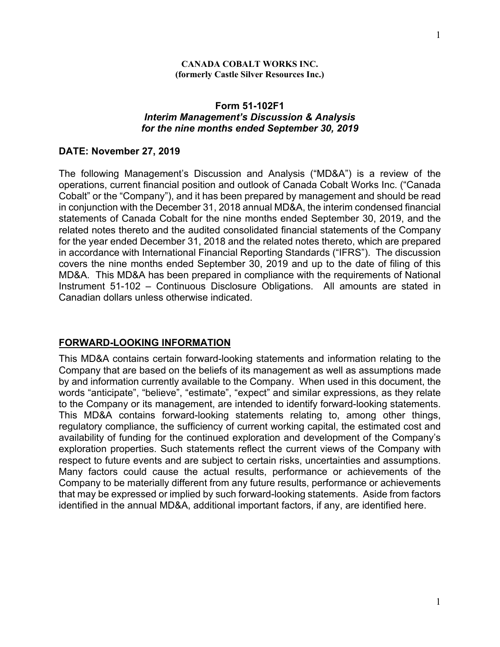#### **(formerly Castle Silver Resources Inc.)**

#### **Form 51-102F1** *Interim Management's Discussion & Analysis for the nine months ended September 30, 2019*

#### **DATE: November 27, 2019**

The following Management's Discussion and Analysis ("MD&A") is a review of the operations, current financial position and outlook of Canada Cobalt Works Inc. ("Canada Cobalt" or the "Company"), and it has been prepared by management and should be read in conjunction with the December 31, 2018 annual MD&A, the interim condensed financial statements of Canada Cobalt for the nine months ended September 30, 2019, and the related notes thereto and the audited consolidated financial statements of the Company for the year ended December 31, 2018 and the related notes thereto, which are prepared in accordance with International Financial Reporting Standards ("IFRS"). The discussion covers the nine months ended September 30, 2019 and up to the date of filing of this MD&A. This MD&A has been prepared in compliance with the requirements of National Instrument 51-102 – Continuous Disclosure Obligations. All amounts are stated in Canadian dollars unless otherwise indicated.

## **FORWARD-LOOKING INFORMATION**

This MD&A contains certain forward-looking statements and information relating to the Company that are based on the beliefs of its management as well as assumptions made by and information currently available to the Company. When used in this document, the words "anticipate", "believe", "estimate", "expect" and similar expressions, as they relate to the Company or its management, are intended to identify forward-looking statements. This MD&A contains forward-looking statements relating to, among other things, regulatory compliance, the sufficiency of current working capital, the estimated cost and availability of funding for the continued exploration and development of the Company's exploration properties. Such statements reflect the current views of the Company with respect to future events and are subject to certain risks, uncertainties and assumptions. Many factors could cause the actual results, performance or achievements of the Company to be materially different from any future results, performance or achievements that may be expressed or implied by such forward-looking statements. Aside from factors identified in the annual MD&A, additional important factors, if any, are identified here.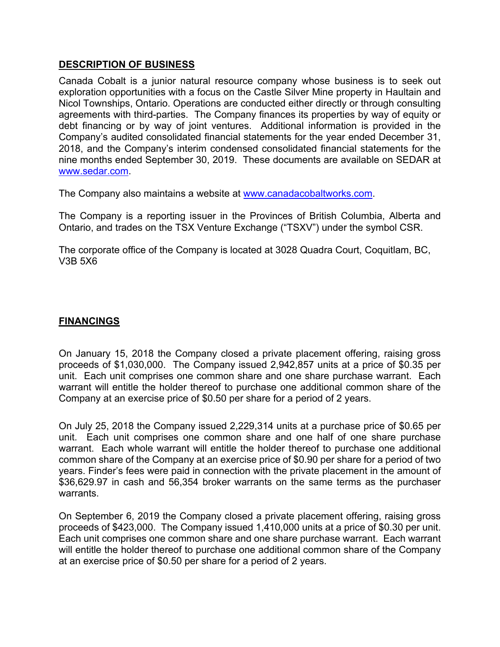### **DESCRIPTION OF BUSINESS**

Canada Cobalt is a junior natural resource company whose business is to seek out exploration opportunities with a focus on the Castle Silver Mine property in Haultain and Nicol Townships, Ontario. Operations are conducted either directly or through consulting agreements with third-parties. The Company finances its properties by way of equity or debt financing or by way of joint ventures. Additional information is provided in the Company's audited consolidated financial statements for the year ended December 31, 2018, and the Company's interim condensed consolidated financial statements for the nine months ended September 30, 2019. These documents are available on SEDAR at www.sedar.com.

The Company also maintains a website at www.canadacobaltworks.com.

The Company is a reporting issuer in the Provinces of British Columbia, Alberta and Ontario, and trades on the TSX Venture Exchange ("TSXV") under the symbol CSR.

The corporate office of the Company is located at 3028 Quadra Court, Coquitlam, BC, V3B 5X6

## **FINANCINGS**

On January 15, 2018 the Company closed a private placement offering, raising gross proceeds of \$1,030,000. The Company issued 2,942,857 units at a price of \$0.35 per unit. Each unit comprises one common share and one share purchase warrant. Each warrant will entitle the holder thereof to purchase one additional common share of the Company at an exercise price of \$0.50 per share for a period of 2 years.

On July 25, 2018 the Company issued 2,229,314 units at a purchase price of \$0.65 per unit. Each unit comprises one common share and one half of one share purchase warrant. Each whole warrant will entitle the holder thereof to purchase one additional common share of the Company at an exercise price of \$0.90 per share for a period of two years. Finder's fees were paid in connection with the private placement in the amount of \$36,629.97 in cash and 56,354 broker warrants on the same terms as the purchaser warrants.

On September 6, 2019 the Company closed a private placement offering, raising gross proceeds of \$423,000. The Company issued 1,410,000 units at a price of \$0.30 per unit. Each unit comprises one common share and one share purchase warrant. Each warrant will entitle the holder thereof to purchase one additional common share of the Company at an exercise price of \$0.50 per share for a period of 2 years.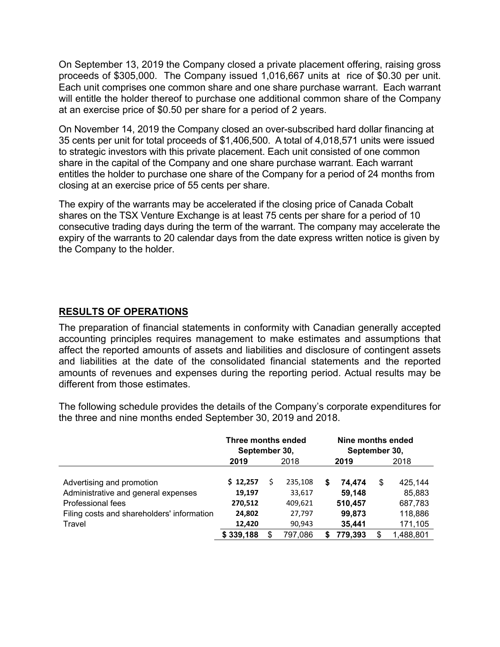On September 13, 2019 the Company closed a private placement offering, raising gross proceeds of \$305,000. The Company issued 1,016,667 units at rice of \$0.30 per unit. Each unit comprises one common share and one share purchase warrant. Each warrant will entitle the holder thereof to purchase one additional common share of the Company at an exercise price of \$0.50 per share for a period of 2 years.

On November 14, 2019 the Company closed an over-subscribed hard dollar financing at 35 cents per unit for total proceeds of \$1,406,500. A total of 4,018,571 units were issued to strategic investors with this private placement. Each unit consisted of one common share in the capital of the Company and one share purchase warrant. Each warrant entitles the holder to purchase one share of the Company for a period of 24 months from closing at an exercise price of 55 cents per share.

The expiry of the warrants may be accelerated if the closing price of Canada Cobalt shares on the TSX Venture Exchange is at least 75 cents per share for a period of 10 consecutive trading days during the term of the warrant. The company may accelerate the expiry of the warrants to 20 calendar days from the date express written notice is given by the Company to the holder.

# **RESULTS OF OPERATIONS**

The preparation of financial statements in conformity with Canadian generally accepted accounting principles requires management to make estimates and assumptions that affect the reported amounts of assets and liabilities and disclosure of contingent assets and liabilities at the date of the consolidated financial statements and the reported amounts of revenues and expenses during the reporting period. Actual results may be different from those estimates.

The following schedule provides the details of the Company's corporate expenditures for the three and nine months ended September 30, 2019 and 2018.

|                                                                  | Three months ended<br>September 30, |    |                   |   | Nine months ended<br>September 30, |    |                   |  |  |
|------------------------------------------------------------------|-------------------------------------|----|-------------------|---|------------------------------------|----|-------------------|--|--|
|                                                                  | 2019<br>2018                        |    | 2019              |   | 2018                               |    |                   |  |  |
| Advertising and promotion<br>Administrative and general expenses | \$12,257<br>19,197                  | \$ | 235,108<br>33,617 | 5 | 74.474<br>59,148                   | \$ | 425.144<br>85,883 |  |  |
| Professional fees                                                | 270,512                             |    | 409,621           |   | 510,457                            |    | 687,783           |  |  |
| Filing costs and shareholders' information                       | 24,802                              |    | 27,797            |   | 99,873                             |    | 118,886           |  |  |
| Travel                                                           | 12,420                              |    | 90,943            |   | 35,441                             |    | 171,105           |  |  |
|                                                                  | \$339,188                           | S  | 797,086           | 5 | 779.393                            | \$ | 1,488,801         |  |  |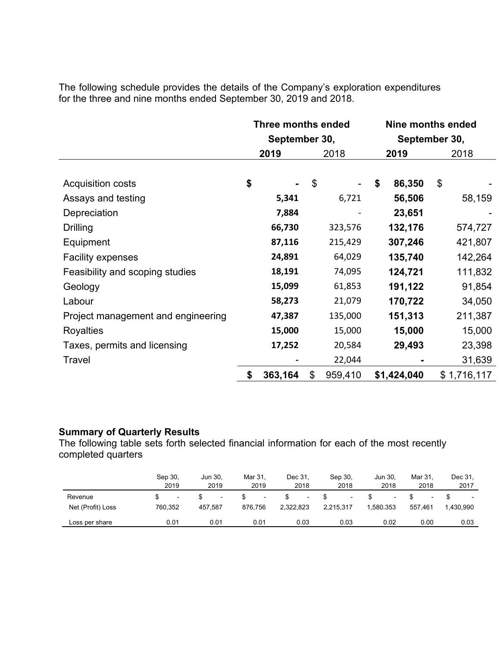The following schedule provides the details of the Company's exploration expenditures for the three and nine months ended September 30, 2019 and 2018.

|                                    | Three months ended |         |      | Nine months ended |               |             |    |             |
|------------------------------------|--------------------|---------|------|-------------------|---------------|-------------|----|-------------|
|                                    | September 30,      |         |      |                   | September 30, |             |    |             |
|                                    | 2019               |         | 2018 |                   | 2019          |             |    | 2018        |
|                                    |                    |         |      |                   |               |             |    |             |
| <b>Acquisition costs</b>           | \$                 |         | \$   |                   | \$            | 86,350      | \$ |             |
| Assays and testing                 |                    | 5,341   |      | 6,721             |               | 56,506      |    | 58,159      |
| Depreciation                       |                    | 7,884   |      |                   |               | 23,651      |    |             |
| <b>Drilling</b>                    |                    | 66,730  |      | 323,576           |               | 132,176     |    | 574,727     |
| Equipment                          |                    | 87,116  |      | 215,429           |               | 307,246     |    | 421,807     |
| <b>Facility expenses</b>           |                    | 24,891  |      | 64,029            |               | 135,740     |    | 142,264     |
| Feasibility and scoping studies    |                    | 18,191  |      | 74,095            |               | 124,721     |    | 111,832     |
| Geology                            |                    | 15,099  |      | 61,853            |               | 191,122     |    | 91,854      |
| Labour                             |                    | 58,273  |      | 21,079            |               | 170,722     |    | 34,050      |
| Project management and engineering |                    | 47,387  |      | 135,000           |               | 151,313     |    | 211,387     |
| <b>Royalties</b>                   |                    | 15,000  |      | 15,000            |               | 15,000      |    | 15,000      |
| Taxes, permits and licensing       |                    | 17,252  |      | 20,584            |               | 29,493      |    | 23,398      |
| Travel                             |                    |         |      | 22,044            |               |             |    | 31,639      |
|                                    | \$                 | 363,164 | \$   | 959,410           |               | \$1,424,040 |    | \$1,716,117 |
|                                    |                    |         |      |                   |               |             |    |             |

#### **Summary of Quarterly Results**

The following table sets forth selected financial information for each of the most recently completed quarters

|                   | Sep 30. | Jun 30.                  | Mar 31. | Dec 31.   | Sep 30.   | Jun 30.   | Mar 31.                  | Dec 31.   |
|-------------------|---------|--------------------------|---------|-----------|-----------|-----------|--------------------------|-----------|
|                   | 2019    | 2019                     | 2019    | 2018      | 2018      | 2018      | 2018                     | 2017      |
| Revenue           | ۰.      | $\overline{\phantom{a}}$ | ۰.      | н.        |           |           | $\overline{\phantom{0}}$ | 1.430.990 |
| Net (Profit) Loss | 760.352 | 457.587                  | 876.756 | 2,322,823 | 2.215.317 | 1.580.353 | 557.461                  |           |
| Loss per share    | 0.01    | 0.01                     | 0.01    | 0.03      | 0.03      | 0.02      | 0.00                     | 0.03      |